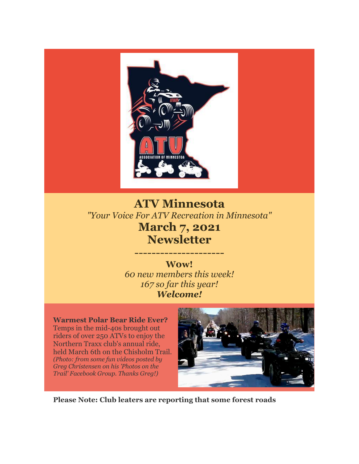

# **ATV Minnesota** *"Your Voice For ATV Recreation in Minnesota"* **March 7, 2021 Newsletter**

**W0w!** *60 new members this week! 167 so far this year! Welcome!*

---------------------

**Warmest Polar Bear Ride Ever?**  Temps in the mid-40s brought out riders of over 250 ATVs to enjoy the Northern Traxx club's annual ride, held March 6th on the Chisholm Trail. *(Photo: from some fun videos posted by Greg Christensen on his 'Photos on the Trail' Facebook Group. Thanks Greg!)*



**Please Note: Club leaters are reporting that some forest roads**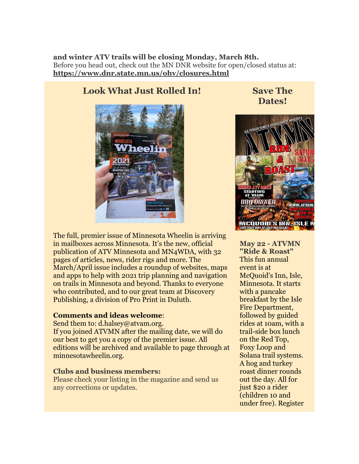**and winter ATV trails will be closing Monday, March 8th.**  Before you head out, check out the MN DNR website for open/closed status at: **[https://www.dnr.state.mn.us/ohv/closures.html](http://r20.rs6.net/tn.jsp?f=001jCaDrO6ZnA0rurby_H2NPj6nyFGWTjLOqIk99tMPwxe-LqP40JUBrIvtqKnWbn6c2sYeZ5qII7nvmY6fK4_GRjsVjqpjhWN3g3JrjF0HVSaU-a0zSzOWsPCNUA0own98_o2laTCqgbnFcgbxZYFuyMwwkX_bfpcPdJufyBaLVQO3pg-NmqjVwg==&c=XVOSbTjheoUw1g1JI-eKP93JwP_3ldhZlIKmrunYRQ8ZbS2uVWa06w==&ch=8pH20kUA-weTiYECNKPxsihwoKXr-FOf4aEwBkuKJZA0UldeAnOOhw==)**

## **Look What Just Rolled In!**



The full, premier issue of Minnesota Wheelin is arriving in mailboxes across Minnesota. It's the new, official publication of ATV Minnesota and MN4WDA, with 32 pages of articles, news, rider rigs and more. The March/April issue includes a roundup of websites, maps and apps to help with 2021 trip planning and navigation on trails in Minnesota and beyond. Thanks to everyone who contributed, and to our great team at Discovery Publishing, a division of Pro Print in Duluth.

### **Comments and ideas welcome**:

Send them to: d.halsey@atvam.org. If you joined ATVMN after the mailing date, we will do our best to get you a copy of the premier issue. All editions will be archived and available to page through at minnesotawheelin.org.

### **Clubs and business members:**

Please check your listing in the magazine and send us any corrections or updates.

**Save The Dates!**



**May 22 - ATVMN "Ride & Roast"** This fun annual event is at McQuoid's Inn, Isle, Minnesota. It starts with a pancake breakfast by the Isle Fire Department, followed by guided rides at 10am, with a trail-side box lunch on the Red Top, Foxy Loop and Solana trail systems. A hog and turkey roast dinner rounds out the day. All for just \$20 a rider (children 10 and under free). Register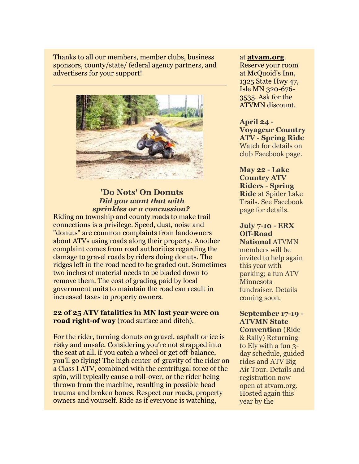Thanks to all our members, member clubs, business sponsors, county/state/ federal agency partners, and advertisers for your support!



## **'Do Nots' On Donuts**  *Did you want that with sprinkles or a concussion?*

Riding on township and county roads to make trail connections is a privilege. Speed, dust, noise and "donuts" are common complaints from landowners about ATVs using roads along their property. Another complaint comes from road authorities regarding the damage to gravel roads by riders doing donuts. The ridges left in the road need to be graded out. Sometimes two inches of material needs to be bladed down to remove them. The cost of grading paid by local government units to maintain the road can result in increased taxes to property owners.

## **22 of 25 ATV fatalities in MN last year were on road right-of way** (road surface and ditch).

For the rider, turning donuts on gravel, asphalt or ice is risky and unsafe. Considering you're not strapped into the seat at all, if you catch a wheel or get off-balance, you'll go flying! The high center-of-gravity of the rider on a Class I ATV, combined with the centrifugal force of the spin, will typically cause a roll-over, or the rider being thrown from the machine, resulting in possible head trauma and broken bones. Respect our roads, property owners and yourself. Ride as if everyone is watching,

#### at **[atvam.org](http://r20.rs6.net/tn.jsp?f=001jCaDrO6ZnA0rurby_H2NPj6nyFGWTjLOqIk99tMPwxe-LqP40JUBrJkcjHR3PWrnZBq_pn3HbpFaKPV-7oZpG3-yUSlrvbYKbpTcY1OJLtrURP82ogXM1wmiE4UFsmAQ8EEWoXiai9w=&c=XVOSbTjheoUw1g1JI-eKP93JwP_3ldhZlIKmrunYRQ8ZbS2uVWa06w==&ch=8pH20kUA-weTiYECNKPxsihwoKXr-FOf4aEwBkuKJZA0UldeAnOOhw==)**.

Reserve your room at McQuoid's Inn, 1325 State Hwy 47, Isle MN 320-676- 3535. Ask for the ATVMN discount.

## **April 24 - Voyageur Country ATV - Spring Ride** Watch for details on club Facebook page.

## **May 22 - Lake Country ATV Riders** - **Spring Ride** at Spider Lake Trails. See Facebook page for details.

## **July 7-10 - ERX Off-Road National** ATVMN members will be invited to help again this year with parking; a fun ATV Minnesota fundraiser. Details

coming soon.

## **September 17-19 - ATVMN State Convention** (Ride & Rally) Returning to Ely with a fun 3 day schedule, guided rides and ATV Big Air Tour. Details and registration now open at atvam.org. Hosted again this year by the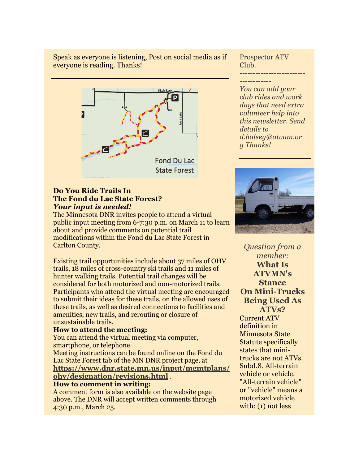Speak as everyone is listening, Post on social media as if everyone is reading. Thanks!



## **Do You Ride Trails In The Fond du Lac State Forest?**  *Your input is needed!*

The Minnesota DNR invites people to attend a virtual public input meeting from 6-7:30 p.m. on March 11 to learn about and provide comments on potential trail modifications within the Fond du Lac State Forest in Carlton County.

Existing trail opportunities include about 37 miles of OHV trails, 18 miles of cross-country ski trails and 11 miles of hunter walking trails. Potential trail changes will be considered for both motorized and non-motorized trails. Participants who attend the virtual meeting are encouraged to submit their ideas for these trails, on the allowed uses of these trails, as well as desired connections to facilities and amenities, new trails, and rerouting or closure of unsustainable trails.

### **How to attend the meeting:**

You can attend the virtual meeting via computer, smartphone, or telephone.

Meeting instructions can be found online on the Fond du Lac State Forest tab of the MN DNR project page, at **[https://www.dnr.state.mn.us/input/mgmtplans/](http://r20.rs6.net/tn.jsp?f=001jCaDrO6ZnA0rurby_H2NPj6nyFGWTjLOqIk99tMPwxe-LqP40JUBrGTOH5LKJnSbLSjQ4che5quNjUitSyUDmXn0jhk09R6BPfnal9r5tAGKgjE4D9QYaSDb5EXI-tgOPUxlXM5eNz0mDc_Kzo-StEThFSwzVXaeYPx65ohC-GFEgpiUmGOOqeRpvQ7DojhU6kLnFPEeHJQt1bJ4KX2Ee5hAe-MV5pwZ&c=XVOSbTjheoUw1g1JI-eKP93JwP_3ldhZlIKmrunYRQ8ZbS2uVWa06w==&ch=8pH20kUA-weTiYECNKPxsihwoKXr-FOf4aEwBkuKJZA0UldeAnOOhw==) [ohv/designation/revisions.html](http://r20.rs6.net/tn.jsp?f=001jCaDrO6ZnA0rurby_H2NPj6nyFGWTjLOqIk99tMPwxe-LqP40JUBrGTOH5LKJnSbLSjQ4che5quNjUitSyUDmXn0jhk09R6BPfnal9r5tAGKgjE4D9QYaSDb5EXI-tgOPUxlXM5eNz0mDc_Kzo-StEThFSwzVXaeYPx65ohC-GFEgpiUmGOOqeRpvQ7DojhU6kLnFPEeHJQt1bJ4KX2Ee5hAe-MV5pwZ&c=XVOSbTjheoUw1g1JI-eKP93JwP_3ldhZlIKmrunYRQ8ZbS2uVWa06w==&ch=8pH20kUA-weTiYECNKPxsihwoKXr-FOf4aEwBkuKJZA0UldeAnOOhw==)** .

#### **How to comment in writing:**

A comment form is also available on the website page above. The DNR will accept written comments through 4:30 p.m., March 25.

Prospector ATV Club. -------------------------

------------ *You can add your club rides and work days that need extra volunteer help into this newsletter. Send details to d.halsey@atvam.or g Thanks!*



*Question from a member:* **What Is ATVMN's Stance On Mini-Trucks Being Used As ATVs?**  Current ATV definition in Minnesota State Statute specifically states that minitrucks are not ATVs.

Subd.8. All-terrain vehicle or vehicle. "All-terrain vehicle" or "vehicle" means a motorized vehicle with: (1) not less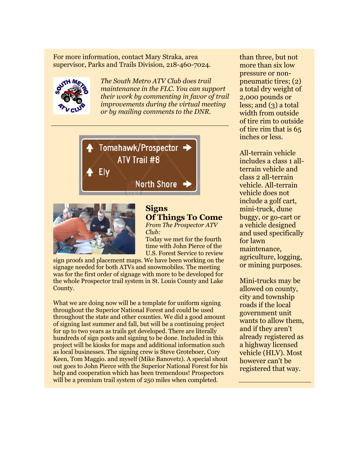For more information, contact Mary Straka, area supervisor, Parks and Trails Division, 218-460-7024.



*The South Metro ATV Club does trail maintenance in the FLC. You can support their work by commenting in favor of trail improvements during the virtual meeting or by mailing comments to the DNR.*





## **Signs Of Things To Come**

*From The Prospector ATV Club:*

Today we met for the fourth time with John Pierce of the U.S. Forest Service to review

sign proofs and placement maps. We have been working on the signage needed for both ATVs and snowmobiles. The meeting was for the first order of signage with more to be developed for the whole Prospector trail system in St. Louis County and Lake County.

What we are doing now will be a template for uniform signing throughout the Superior National Forest and could be used throughout the state and other counties. We did a good amount of signing last summer and fall, but will be a continuing project for up to two years as trails get developed. There are literally hundreds of sign posts and signing to be done. Included in this project will be kiosks for maps and additional information such as local businesses. The signing crew is Steve Groteboer, Cory Keen, Tom Maggio. and myself (Mike Banovetz). A special shout out goes to John Pierce with the Superior National Forest for his help and cooperation which has been tremendous! Prospectors will be a premium trail system of 250 miles when completed.

than three, but not more than six low pressure or nonpneumatic tires; (2) a total dry weight of 2,000 pounds or less; and (3) a total width from outside of tire rim to outside of tire rim that is 65 inches or less.

All-terrain vehicle includes a class 1 allterrain vehicle and class 2 all-terrain vehicle. All-terrain vehicle does not include a golf cart, mini-truck, dune buggy, or go-cart or a vehicle designed and used specifically for lawn maintenance, agriculture, logging, or mining purposes.

Mini-trucks may be allowed on county, city and township roads if the local government unit wants to allow them, and if they aren't already registered as a highway licensed vehicle (HLV). Most however can't be registered that way.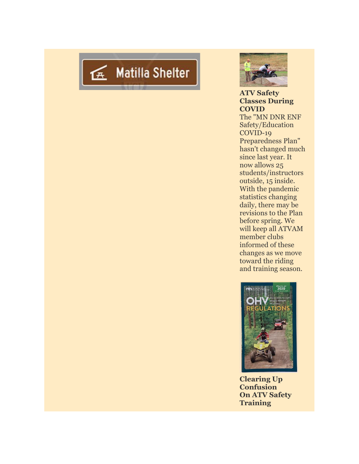



**ATV Safety Classes During COVID** The "MN DNR ENF Safety/Education COVID-19 Preparedness Plan" hasn't changed much since last year. It now allows 25 students/instructors outside, 15 inside. With the pandemic statistics changing daily, there may be revisions to the Plan before spring. We will keep all ATVAM member clubs informed of these changes as we move toward the riding and training season.



**Clearing Up Confusion On ATV Safety Training**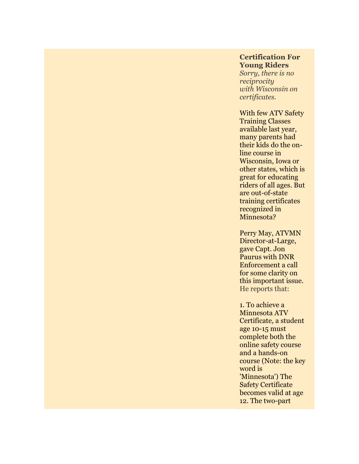## **Certification For Young Riders**

*Sorry, there is no reciprocity with Wisconsin on certificates.*

With few ATV Safety Training Classes available last year, many parents had their kids do the online course in Wisconsin, Iowa or other states, which is great for educating riders of all ages. But are out-of-state training certificates recognized in Minnesota?

Perry May, ATVMN Director-at-Large, gave Capt. Jon Paurus with DNR Enforcement a call for some clarity on this important issue. He reports that:

1. To achieve a Minnesota ATV Certificate, a student age 10-15 must complete both the online safety course and a hands-on course (Note: the key word is 'Minnesota') The Safety Certificate becomes valid at age 12. The two-part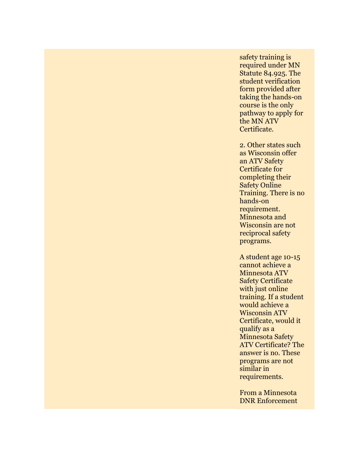safety training is required under MN Statute 84.925. The student verification form provided after taking the hands-on course is the only pathway to apply for the MN ATV Certificate.

2. Other states such as Wisconsin offer an ATV Safety Certificate for completing their Safety Online Training. There is no hands-on requirement. Minnesota and Wisconsin are not reciprocal safety programs.

A student age 10-15 cannot achieve a Minnesota ATV Safety Certificate with just online training. If a student would achieve a Wisconsin ATV Certificate, would it qualify as a Minnesota Safety ATV Certificate? The answer is no. These programs are not similar in requirements.

From a Minnesota DNR Enforcement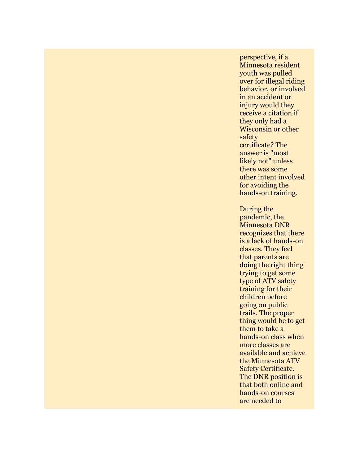perspective, if a Minnesota resident youth was pulled over for illegal riding behavior, or involved in an accident or injury would they receive a citation if they only had a Wisconsin or other safety certificate? The answer is "most likely not" unless there was some other intent involved for avoiding the hands-on training.

During the pandemic, the Minnesota DNR recognizes that there is a lack of hands-on classes. They feel that parents are doing the right thing trying to get some type of ATV safety training for their children before going on public trails. The proper thing would be to get them to take a hands-on class when more classes are available and achieve the Minnesota ATV Safety Certificate. The DNR position is that both online and hands-on courses are needed to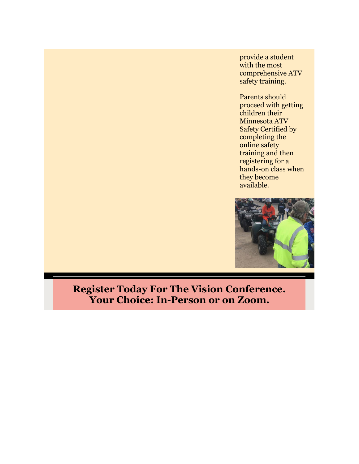provide a student with the most comprehensive ATV safety training.

Parents should proceed with getting children their Minnesota ATV Safety Certified by completing the online safety training and then registering for a hands-on class when they become available.



# **Register Today For The Vision Conference. Your Choice: In-Person or on Zoom.**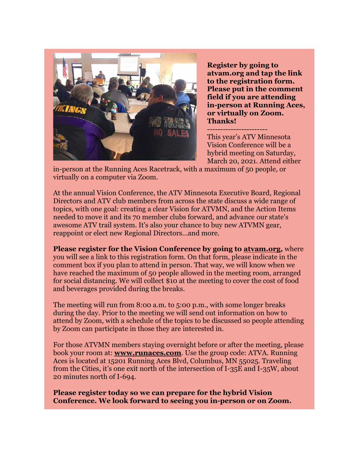

**Register by going to atvam.org and tap the link to the registration form. Please put in the comment field if you are attending in-person at Running Aces, or virtually on Zoom. Thanks!**

-----------------------

This year's ATV Minnesota Vision Conference will be a hybrid meeting on Saturday, March 20, 2021. Attend either

in-person at the Running Aces Racetrack, with a maximum of 50 people, or virtually on a computer via Zoom.

At the annual Vision Conference, the ATV Minnesota Executive Board, Regional Directors and ATV club members from across the state discuss a wide range of topics, with one goal: creating a clear Vision for ATVMN, and the Action Items needed to move it and its 70 member clubs forward, and advance our state's awesome ATV trail system. It's also your chance to buy new ATVMN gear, reappoint or elect new Regional Directors...and more.

**Please register for the Vision Conference by going to [atvam.org,](http://r20.rs6.net/tn.jsp?f=001jCaDrO6ZnA0rurby_H2NPj6nyFGWTjLOqIk99tMPwxe-LqP40JUBrJkcjHR3PWrnZBq_pn3HbpFaKPV-7oZpG3-yUSlrvbYKbpTcY1OJLtrURP82ogXM1wmiE4UFsmAQ8EEWoXiai9w=&c=XVOSbTjheoUw1g1JI-eKP93JwP_3ldhZlIKmrunYRQ8ZbS2uVWa06w==&ch=8pH20kUA-weTiYECNKPxsihwoKXr-FOf4aEwBkuKJZA0UldeAnOOhw==)** where you will see a link to this registration form. On that form, please indicate in the comment box if you plan to attend in person. That way, we will know when we have reached the maximum of 50 people allowed in the meeting room, arranged for social distancing. We will collect \$10 at the meeting to cover the cost of food and beverages provided during the breaks.

The meeting will run from 8:00 a.m. to 5:00 p.m., with some longer breaks during the day. Prior to the meeting we will send out information on how to attend by Zoom, with a schedule of the topics to be discussed so people attending by Zoom can participate in those they are interested in.

For those ATVMN members staying overnight before or after the meeting, please book your room at: **[www.runaces.com](http://r20.rs6.net/tn.jsp?f=001jCaDrO6ZnA0rurby_H2NPj6nyFGWTjLOqIk99tMPwxe-LqP40JUBrMlR44uyjHKCT1bLNwEOO1TLUqOO97bIjxhi1xTkonQWps-dGMcLdgW1hSC5LTC0fPRXNJJ-50sT4-e2oJE-SMCD_ODu5HodOw==&c=XVOSbTjheoUw1g1JI-eKP93JwP_3ldhZlIKmrunYRQ8ZbS2uVWa06w==&ch=8pH20kUA-weTiYECNKPxsihwoKXr-FOf4aEwBkuKJZA0UldeAnOOhw==)**. Use the group code: ATVA. Running Aces is located at 15201 Running Aces Blvd, Columbus, MN 55025. Traveling from the Cities, it's one exit north of the intersection of I-35E and I-35W, about 20 minutes north of I-694.

**Please register today so we can prepare for the hybrid Vision Conference. We look forward to seeing you in-person or on Zoom.**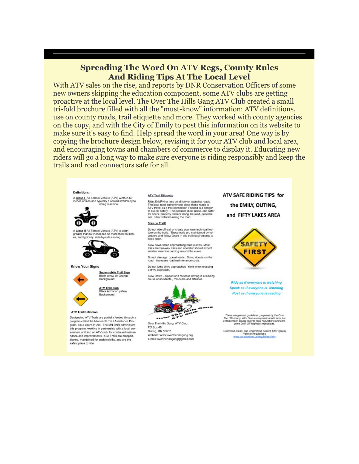## **Spreading The Word On ATV Regs, County Rules And Riding Tips At The Local Level**

With ATV sales on the rise, and reports by DNR Conservation Officers of some new owners skipping the education component, some ATV clubs are getting proactive at the local level. The Over The Hills Gang ATV Club created a small tri-fold brochure filled with all the "must-know" information: ATV definitions, use on county roads, trail etiquette and more. They worked with county agencies on the copy, and with the City of Emily to post this information on its website to make sure it's easy to find. Help spread the word in your area! One way is by copying the brochure design below, revising it for your ATV club and local area, and encouraging towns and chambers of commerce to display it. Educating new riders will go a long way to make sure everyone is riding responsibly and keep the trails and road connectors safe for all.

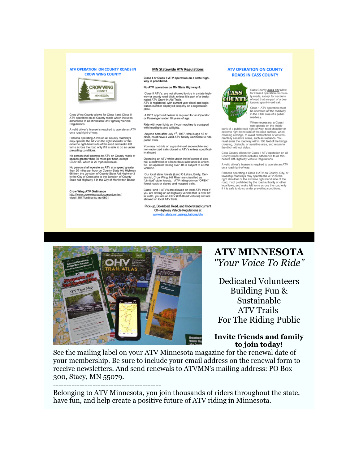#### ATV OPERATION ON COUNTY ROADS IN **CROW WING COUNTY**



Crow Wing County allows for Class I and Class II<br>ATV operation on all County roads which includes<br>adherence to all Minnesota Off-Highway Vehicle<br>Regulations

A valid driver's license is required to operate an ATV on a road right-of-way.

Persons operating ATVs on all County roadways<br>may operate the ATV on the right shoulder or the<br>extreme right-hand side of the road and make left<br>turns across the road only if it is safe to do so under<br>prevailing conditions

No person shall operate an ATV on County roads at<br>speeds greater than 30 miles per hour, except<br>CSAH 66, which is 20 mph maximum.

No person shall operate an ATV at a speed greater<br>than 20 miles per hour on County State Aid Highway<br>66 from the Junction of County State Aid Highway<br>in the City of Crosslake to the Junction of County<br>State Aid Highway 1 i

Crow Wing ATV Ordinance thow Wing ATV Ordinance<br>http://www.crowwing.us/documentcenter/

#### **MN Statewide ATV Regulations**

Class I or Class II ATV operation on a state high-<br>way is prohibited.

#### No ATV operation on MN State Highway 6.

Class II ATV's, are not allowed to ride in a state highwas a near way are not dich, unless it is part of a designated ATV Grant-In-Aid Trails.<br>The mated ATV Grant-In-Aid Trails. tration number displayed properly on a registration nlate

A DOT approved helmet is required for an Operator<br>or Passenger under 18 years of age.

Ride with your lights on if your machine is equipped with headlights and taillights.

Anyone born after July 1<sup>st</sup>, 1987, who is age 12 or<br>older, must have a valid ATV Safety Certificate to ride public trails.

You may not ride on a grant-in-aid snowmobile and<br>non-motorized trails closed to ATV's unless specifically allowed

Operating an ATV while under the influence of alcohol, a controlled or a hazardo substance ful. An operator testing over .08 is substance is unlawviolation

Our local state forests (Land O Lakes, Emily, Centerinial, Crow Wing, Hill River are classified as<br>temial, Crow Wing, Hill River are classified as<br>"Limited" state forests. ATV riding only on "OPEN"<br>forest roads or signed a

Class Land II ATV's are allowed on local ATV trails if Class I and II ATV's are allowed on local ATV trails if<br>you are driving an off-highway vehicle that is over 65<br>in width, you are an ORV (Off-Road Vehicle) and not<br>allowed on local ATV trails.

Pick-up, Download, Read, and Understand current Off-Highway Vehicle Regulations at www.dnr.state.mn.us/regulations/ohy

#### **ATV OPERATION ON COUNTY ROADS IN CASS COUNTY**



Cass County **does not** allow<br>for Class I operation on county roads, except for sections<br>of road that are part of a des-<br>ignated grant-in-aid trail.

Class 1 ATV operation must<br>be operated off the roadway<br>in the ditch area of a public

When necessary, a Class I<br>
can operate on the inside<br>
can operate on the inside<br>
extreme right-hand side of the road surface, when<br>
recossing a bridge, to avoid obstructions or environ-<br>
crossing a bridge, to avoid obstruc mentally sensitive areas, such as wetlands. You<br>must enter the roadway within 100 feet of the bridge crossing, obstacle, or sensitive area, and return to<br>the ditch without delay.

Cass County allows for Class II ATV operation on all<br>County roads which includes adherence to all Min-<br>nesota Off-Highway Vehicle Regulations

A valid driver's license is required to operate an ATV<br>on a road right-of-way.

Persons operating a Class II ATV on County, City, or<br>township roadways may operate the ATV on the modular right shoulder or the axizeme right-hand side of the<br>road, if not probibited by the road authority or other<br>coad, i



-----------------------------------------

## **ATV MINNESOTA** *"Your Voice To Ride"*

Dedicated Volunteers Building Fun & Sustainable ATV Trails For The Riding Public

## **Invite friends and family to join today!**

See the mailing label on your ATV Minnesota magazine for the renewal date of your membership. Be sure to include your email address on the renewal form to receive newsletters. And send renewals to ATVMN's mailing address: PO Box 300, Stacy, MN 55079.

Belonging to ATV Minnesota, you join thousands of riders throughout the state, have fun, and help create a positive future of ATV riding in Minnesota.